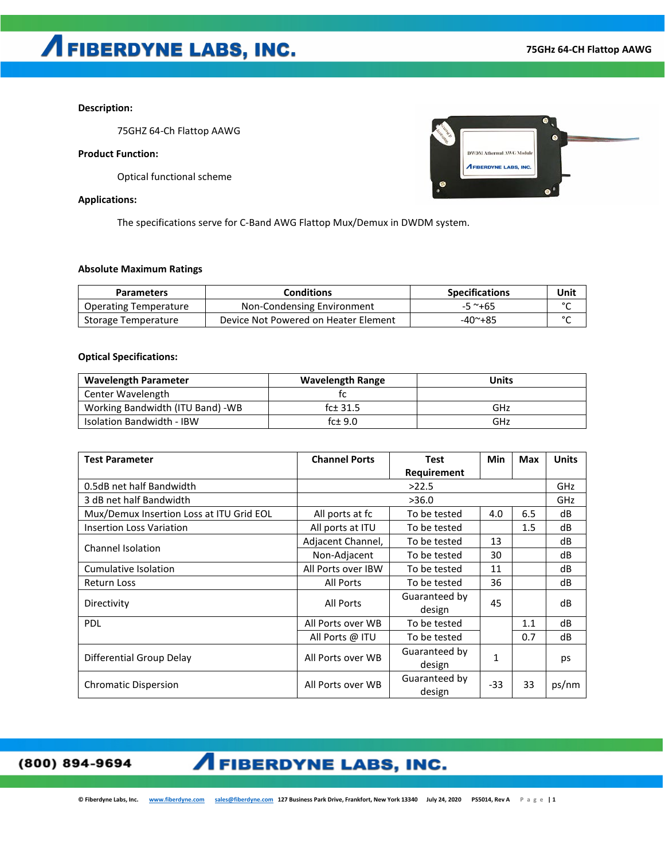### **Description:**

75GHZ 64-Ch Flattop AAWG

### **Product Function:**

Optical functional scheme

#### **Applications:**

The specifications serve for C-Band AWG Flattop Mux/Demux in DWDM system.

### **Absolute Maximum Ratings**

| <b>Parameters</b>            | <b>Conditions</b>                    | <b>Specifications</b> | Unit   |
|------------------------------|--------------------------------------|-----------------------|--------|
| <b>Operating Temperature</b> | Non-Condensing Environment           | $-5$ ~+65             | $\sim$ |
| Storage Temperature          | Device Not Powered on Heater Element | $-40^\sim + 85$       | $\sim$ |

### **Optical Specifications:**

| <b>Wavelength Parameter</b>       | <b>Wavelength Range</b> | Units |
|-----------------------------------|-------------------------|-------|
| Center Wavelength                 |                         |       |
| Working Bandwidth (ITU Band) - WB | fc±31.5                 | GHz   |
| <b>Isolation Bandwidth - IBW</b>  | fc $± 9.0$              | GHz   |

| <b>Test Parameter</b>                    | <b>Channel Ports</b> | <b>Test</b>             | Min   | Max | <b>Units</b> |
|------------------------------------------|----------------------|-------------------------|-------|-----|--------------|
|                                          |                      | Requirement             |       |     |              |
| 0.5dB net half Bandwidth                 | >22.5                |                         |       |     | GHz          |
| 3 dB net half Bandwidth                  | >36.0                |                         |       |     | GHz          |
| Mux/Demux Insertion Loss at ITU Grid EOL | All ports at fc      | To be tested            | 4.0   | 6.5 | dB           |
| <b>Insertion Loss Variation</b>          | All ports at ITU     | To be tested            |       | 1.5 | dB           |
| Channel Isolation                        | Adjacent Channel,    | To be tested            | 13    |     | dB           |
|                                          | Non-Adjacent         | To be tested            | 30    |     | dB           |
| Cumulative Isolation                     | All Ports over IBW   | To be tested            | 11    |     | dB           |
| <b>Return Loss</b>                       | <b>All Ports</b>     | To be tested            | 36    |     | dB           |
| Directivity                              | <b>All Ports</b>     | Guaranteed by<br>design | 45    |     | dB           |
| <b>PDL</b>                               | All Ports over WB    | To be tested            |       | 1.1 | dB           |
|                                          | All Ports @ ITU      | To be tested            |       | 0.7 | dB           |
| Differential Group Delay                 | All Ports over WB    | Guaranteed by<br>design | 1     |     | ps           |
| <b>Chromatic Dispersion</b>              | All Ports over WB    | Guaranteed by<br>design | $-33$ | 33  | ps/nm        |

(800) 894-9694

### **AFIBERDYNE LABS, INC.**

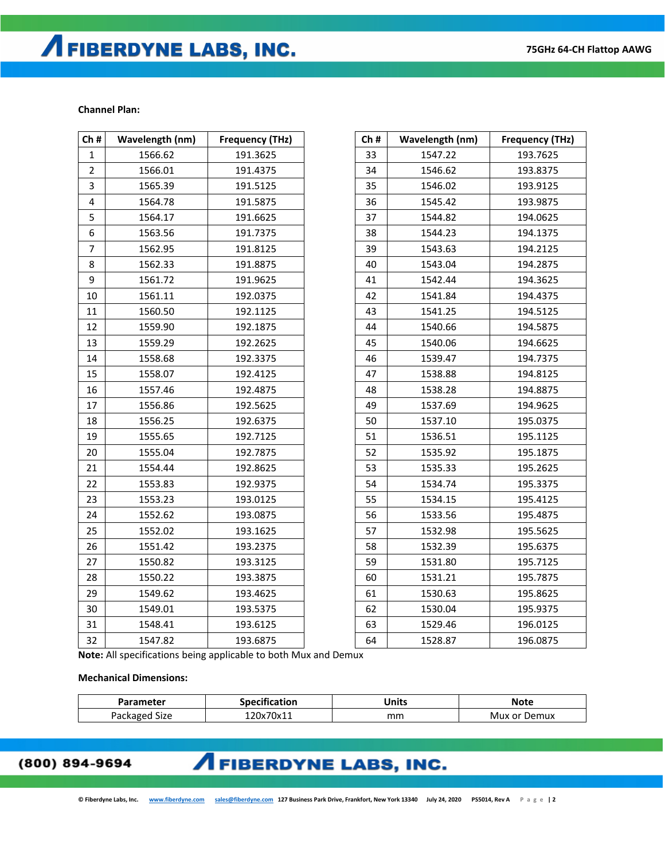# **AFIBERDYNE LABS, INC.**

### **Channel Plan:**

| Ch#            | Wavelength (nm) | <b>Frequency (THz)</b> | Ch# | Wavelength (nm) | <b>Frequency (THz)</b> |
|----------------|-----------------|------------------------|-----|-----------------|------------------------|
| $\mathbf{1}$   | 1566.62         | 191.3625               | 33  | 1547.22         | 193.7625               |
| $\overline{2}$ | 1566.01         | 191.4375               | 34  | 1546.62         | 193.8375               |
| 3              | 1565.39         | 191.5125               | 35  | 1546.02         | 193.9125               |
| 4              | 1564.78         | 191.5875               | 36  | 1545.42         | 193.9875               |
| 5              | 1564.17         | 191.6625               | 37  | 1544.82         | 194.0625               |
| 6              | 1563.56         | 191.7375               | 38  | 1544.23         | 194.1375               |
| $\overline{7}$ | 1562.95         | 191.8125               | 39  | 1543.63         | 194.2125               |
| 8              | 1562.33         | 191.8875               | 40  | 1543.04         | 194.2875               |
| 9              | 1561.72         | 191.9625               | 41  | 1542.44         | 194.3625               |
| 10             | 1561.11         | 192.0375               | 42  | 1541.84         | 194.4375               |
| 11             | 1560.50         | 192.1125               | 43  | 1541.25         | 194.5125               |
| 12             | 1559.90         | 192.1875               | 44  | 1540.66         | 194.5875               |
| 13             | 1559.29         | 192.2625               | 45  | 1540.06         | 194.6625               |
| 14             | 1558.68         | 192.3375               | 46  | 1539.47         | 194.7375               |
| 15             | 1558.07         | 192.4125               | 47  | 1538.88         | 194.8125               |
| 16             | 1557.46         | 192.4875               | 48  | 1538.28         | 194.8875               |
| 17             | 1556.86         | 192.5625               | 49  | 1537.69         | 194.9625               |
| 18             | 1556.25         | 192.6375               | 50  | 1537.10         | 195.0375               |
| 19             | 1555.65         | 192.7125               | 51  | 1536.51         | 195.1125               |
| 20             | 1555.04         | 192.7875               | 52  | 1535.92         | 195.1875               |
| 21             | 1554.44         | 192.8625               | 53  | 1535.33         | 195.2625               |
| 22             | 1553.83         | 192.9375               | 54  | 1534.74         | 195.3375               |
| 23             | 1553.23         | 193.0125               | 55  | 1534.15         | 195.4125               |
| 24             | 1552.62         | 193.0875               | 56  | 1533.56         | 195.4875               |
| 25             | 1552.02         | 193.1625               | 57  | 1532.98         | 195.5625               |
| 26             | 1551.42         | 193.2375               | 58  | 1532.39         | 195.6375               |
| 27             | 1550.82         | 193.3125               | 59  | 1531.80         | 195.7125               |
| 28             | 1550.22         | 193.3875               | 60  | 1531.21         | 195.7875               |
| 29             | 1549.62         | 193.4625               | 61  | 1530.63         | 195.8625               |
| 30             | 1549.01         | 193.5375               | 62  | 1530.04         | 195.9375               |
| 31             | 1548.41         | 193.6125               | 63  | 1529.46         | 196.0125               |
| 32             | 1547.82         | 193.6875               | 64  | 1528.87         | 196.0875               |

**Note:** All specifications being applicable to both Mux and Demux

#### **Mechanical Dimensions:**

| Parameter                | <br>.<br>cation | <b>Jnits</b> | <b>Note</b>        |
|--------------------------|-----------------|--------------|--------------------|
| Packa<br>Size<br>'kaoren | 120x70x11       | mm           | Demux<br>Mux<br>or |

### (800) 894-9694

### **AFIBERDYNE LABS, INC.**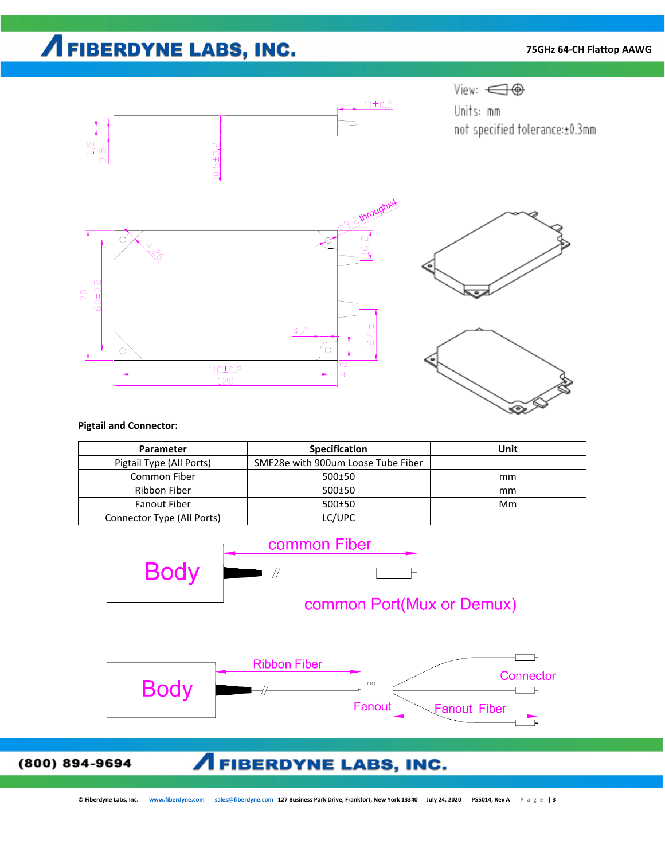# **AFIBERDYNE LABS, INC.**

### **75GHz 64-CH Flattop AAWG**



### **Pigtail and Connector:**

| <b>Parameter</b>           | <b>Specification</b>               | Unit |
|----------------------------|------------------------------------|------|
| Pigtail Type (All Ports)   | SMF28e with 900um Loose Tube Fiber |      |
| Common Fiber               | 500±50                             | mm   |
| Ribbon Fiber               | 500±50                             | mm   |
| <b>Fanout Fiber</b>        | 500±50                             | Mm   |
| Connector Type (All Ports) | LC/UPC                             |      |